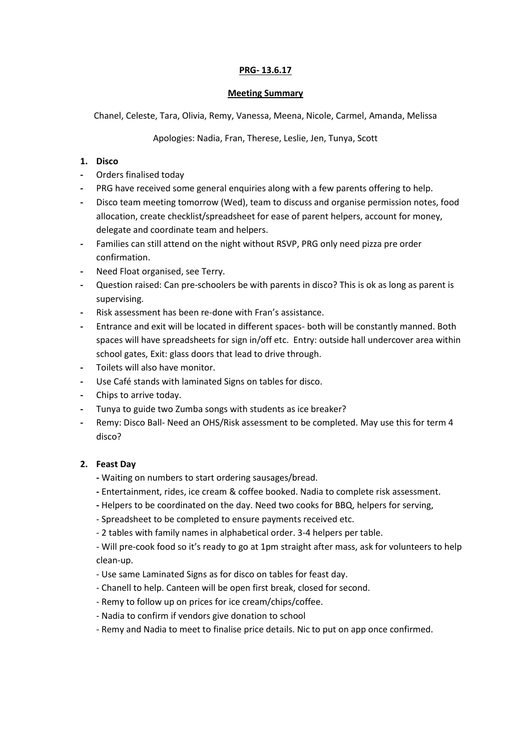# **PRG- 13.6.17**

#### **Meeting Summary**

Chanel, Celeste, Tara, Olivia, Remy, Vanessa, Meena, Nicole, Carmel, Amanda, Melissa

# Apologies: Nadia, Fran, Therese, Leslie, Jen, Tunya, Scott

# **1. Disco**

- **-** Orders finalised today
- **-** PRG have received some general enquiries along with a few parents offering to help.
- **-** Disco team meeting tomorrow (Wed), team to discuss and organise permission notes, food allocation, create checklist/spreadsheet for ease of parent helpers, account for money, delegate and coordinate team and helpers.
- **-** Families can still attend on the night without RSVP, PRG only need pizza pre order confirmation.
- **-** Need Float organised, see Terry.
- **-** Question raised: Can pre-schoolers be with parents in disco? This is ok as long as parent is supervising.
- **-** Risk assessment has been re-done with Fran's assistance.
- **-** Entrance and exit will be located in different spaces- both will be constantly manned. Both spaces will have spreadsheets for sign in/off etc. Entry: outside hall undercover area within school gates, Exit: glass doors that lead to drive through.
- **-** Toilets will also have monitor.
- **-** Use Café stands with laminated Signs on tables for disco.
- **-** Chips to arrive today.
- **-** Tunya to guide two Zumba songs with students as ice breaker?
- **-** Remy: Disco Ball- Need an OHS/Risk assessment to be completed. May use this for term 4 disco?

# **2. Feast Day**

- **-** Waiting on numbers to start ordering sausages/bread.
- **-** Entertainment, rides, ice cream & coffee booked. Nadia to complete risk assessment.
- **-** Helpers to be coordinated on the day. Need two cooks for BBQ, helpers for serving,
- Spreadsheet to be completed to ensure payments received etc.
- 2 tables with family names in alphabetical order. 3-4 helpers per table.
- Will pre-cook food so it's ready to go at 1pm straight after mass, ask for volunteers to help clean-up.
- Use same Laminated Signs as for disco on tables for feast day.
- Chanell to help. Canteen will be open first break, closed for second.
- Remy to follow up on prices for ice cream/chips/coffee.
- Nadia to confirm if vendors give donation to school
- Remy and Nadia to meet to finalise price details. Nic to put on app once confirmed.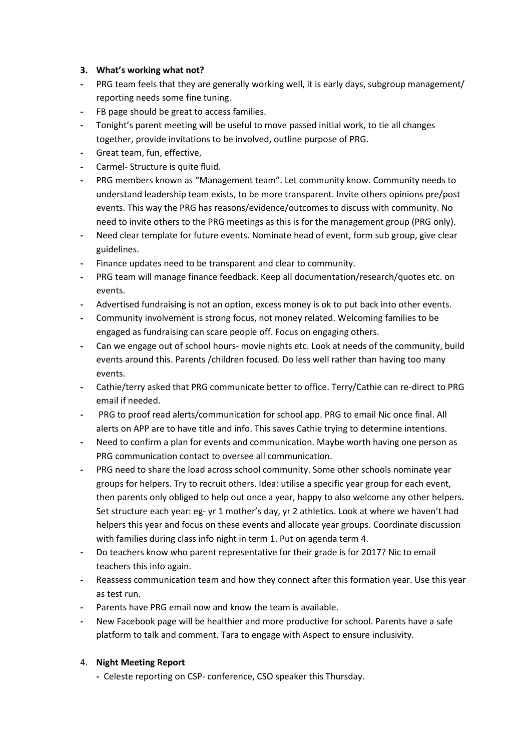# **3. What's working what not?**

- **-** PRG team feels that they are generally working well, it is early days, subgroup management/ reporting needs some fine tuning.
- **-** FB page should be great to access families.
- **-** Tonight's parent meeting will be useful to move passed initial work, to tie all changes together, provide invitations to be involved, outline purpose of PRG.
- **-** Great team, fun, effective,
- **-** Carmel- Structure is quite fluid.
- **-** PRG members known as "Management team". Let community know. Community needs to understand leadership team exists, to be more transparent. Invite others opinions pre/post events. This way the PRG has reasons/evidence/outcomes to discuss with community. No need to invite others to the PRG meetings as this is for the management group (PRG only).
- **-** Need clear template for future events. Nominate head of event, form sub group, give clear guidelines.
- **-** Finance updates need to be transparent and clear to community.
- **-** PRG team will manage finance feedback. Keep all documentation/research/quotes etc. on events.
- **-** Advertised fundraising is not an option, excess money is ok to put back into other events.
- **-** Community involvement is strong focus, not money related. Welcoming families to be engaged as fundraising can scare people off. Focus on engaging others.
- **-** Can we engage out of school hours- movie nights etc. Look at needs of the community, build events around this. Parents /children focused. Do less well rather than having too many events.
- **-** Cathie/terry asked that PRG communicate better to office. Terry/Cathie can re-direct to PRG email if needed.
- **-** PRG to proof read alerts/communication for school app. PRG to email Nic once final. All alerts on APP are to have title and info. This saves Cathie trying to determine intentions.
- **-** Need to confirm a plan for events and communication. Maybe worth having one person as PRG communication contact to oversee all communication.
- **-** PRG need to share the load across school community. Some other schools nominate year groups for helpers. Try to recruit others. Idea: utilise a specific year group for each event, then parents only obliged to help out once a year, happy to also welcome any other helpers. Set structure each year: eg- yr 1 mother's day, yr 2 athletics. Look at where we haven't had helpers this year and focus on these events and allocate year groups. Coordinate discussion with families during class info night in term 1. Put on agenda term 4.
- **-** Do teachers know who parent representative for their grade is for 2017? Nic to email teachers this info again.
- **-** Reassess communication team and how they connect after this formation year. Use this year as test run.
- **-** Parents have PRG email now and know the team is available.
- **-** New Facebook page will be healthier and more productive for school. Parents have a safe platform to talk and comment. Tara to engage with Aspect to ensure inclusivity.

# 4. **Night Meeting Report**

**-** Celeste reporting on CSP- conference, CSO speaker this Thursday.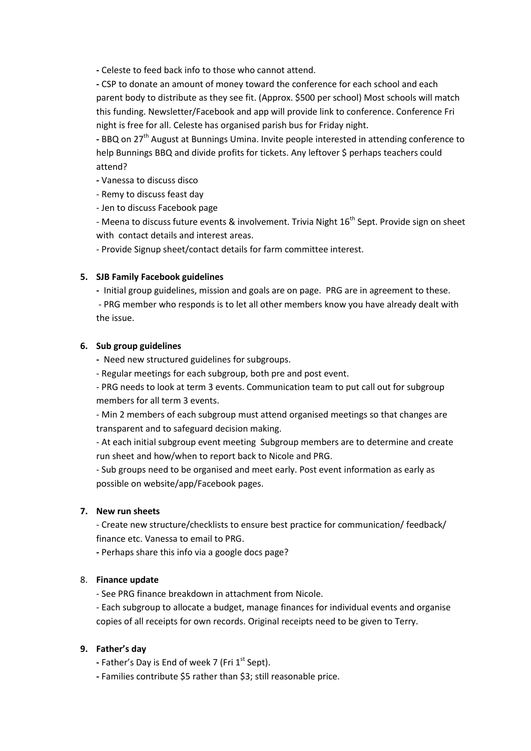**-** Celeste to feed back info to those who cannot attend.

**-** CSP to donate an amount of money toward the conference for each school and each parent body to distribute as they see fit. (Approx. \$500 per school) Most schools will match this funding. Newsletter/Facebook and app will provide link to conference. Conference Fri night is free for all. Celeste has organised parish bus for Friday night.

**-** BBQ on 27th August at Bunnings Umina. Invite people interested in attending conference to help Bunnings BBQ and divide profits for tickets. Any leftover \$ perhaps teachers could attend?

**-** Vanessa to discuss disco

- Remy to discuss feast day

- Jen to discuss Facebook page

- Meena to discuss future events & involvement. Trivia Night 16<sup>th</sup> Sept. Provide sign on sheet with contact details and interest areas.

- Provide Signup sheet/contact details for farm committee interest.

### **5. SJB Family Facebook guidelines**

**-** Initial group guidelines, mission and goals are on page. PRG are in agreement to these.

- PRG member who responds is to let all other members know you have already dealt with the issue.

### **6. Sub group guidelines**

**-** Need new structured guidelines for subgroups.

- Regular meetings for each subgroup, both pre and post event.

- PRG needs to look at term 3 events. Communication team to put call out for subgroup members for all term 3 events.

- Min 2 members of each subgroup must attend organised meetings so that changes are transparent and to safeguard decision making.

- At each initial subgroup event meeting Subgroup members are to determine and create run sheet and how/when to report back to Nicole and PRG.

- Sub groups need to be organised and meet early. Post event information as early as possible on website/app/Facebook pages.

#### **7. New run sheets**

- Create new structure/checklists to ensure best practice for communication/ feedback/ finance etc. Vanessa to email to PRG.

**-** Perhaps share this info via a google docs page?

# 8. **Finance update**

- See PRG finance breakdown in attachment from Nicole.

- Each subgroup to allocate a budget, manage finances for individual events and organise copies of all receipts for own records. Original receipts need to be given to Terry.

# **9. Father's day**

- Father's Day is End of week 7 (Fri 1<sup>st</sup> Sept).
- **-** Families contribute \$5 rather than \$3; still reasonable price.